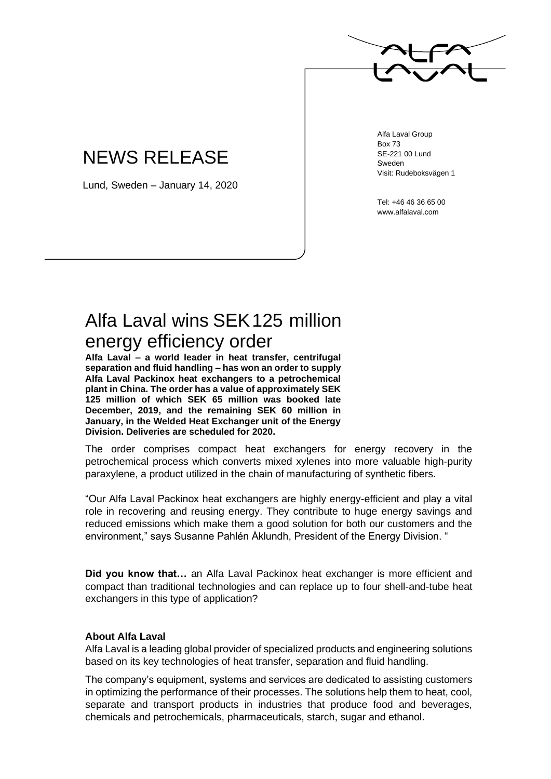

## NEWS RELEASE

Lund, Sweden – January 14, 2020

Alfa Laval Group Box 73 SE-221 00 Lund Sweden Visit: Rudeboksvägen 1

Tel: +46 46 36 65 00 www.alfalaval.com

## Alfa Laval wins SEK125 million energy efficiency order

**Alfa Laval – a world leader in heat transfer, centrifugal separation and fluid handling – has won an order to supply Alfa Laval Packinox heat exchangers to a petrochemical plant in China. The order has a value of approximately SEK 125 million of which SEK 65 million was booked late December, 2019, and the remaining SEK 60 million in January, in the Welded Heat Exchanger unit of the Energy Division. Deliveries are scheduled for 2020.**

The order comprises compact heat exchangers for energy recovery in the petrochemical process which converts mixed xylenes into more valuable high-purity paraxylene, a product utilized in the chain of manufacturing of synthetic fibers.

"Our Alfa Laval Packinox heat exchangers are highly energy-efficient and play a vital role in recovering and reusing energy. They contribute to huge energy savings and reduced emissions which make them a good solution for both our customers and the environment," says Susanne Pahlén Åklundh, President of the Energy Division. "

**Did you know that…** an Alfa Laval Packinox heat exchanger is more efficient and compact than traditional technologies and can replace up to four shell-and-tube heat exchangers in this type of application?

## **About Alfa Laval**

Alfa Laval is a leading global provider of specialized products and engineering solutions based on its key technologies of heat transfer, separation and fluid handling.

The company's equipment, systems and services are dedicated to assisting customers in optimizing the performance of their processes. The solutions help them to heat, cool, separate and transport products in industries that produce food and beverages, chemicals and petrochemicals, pharmaceuticals, starch, sugar and ethanol.